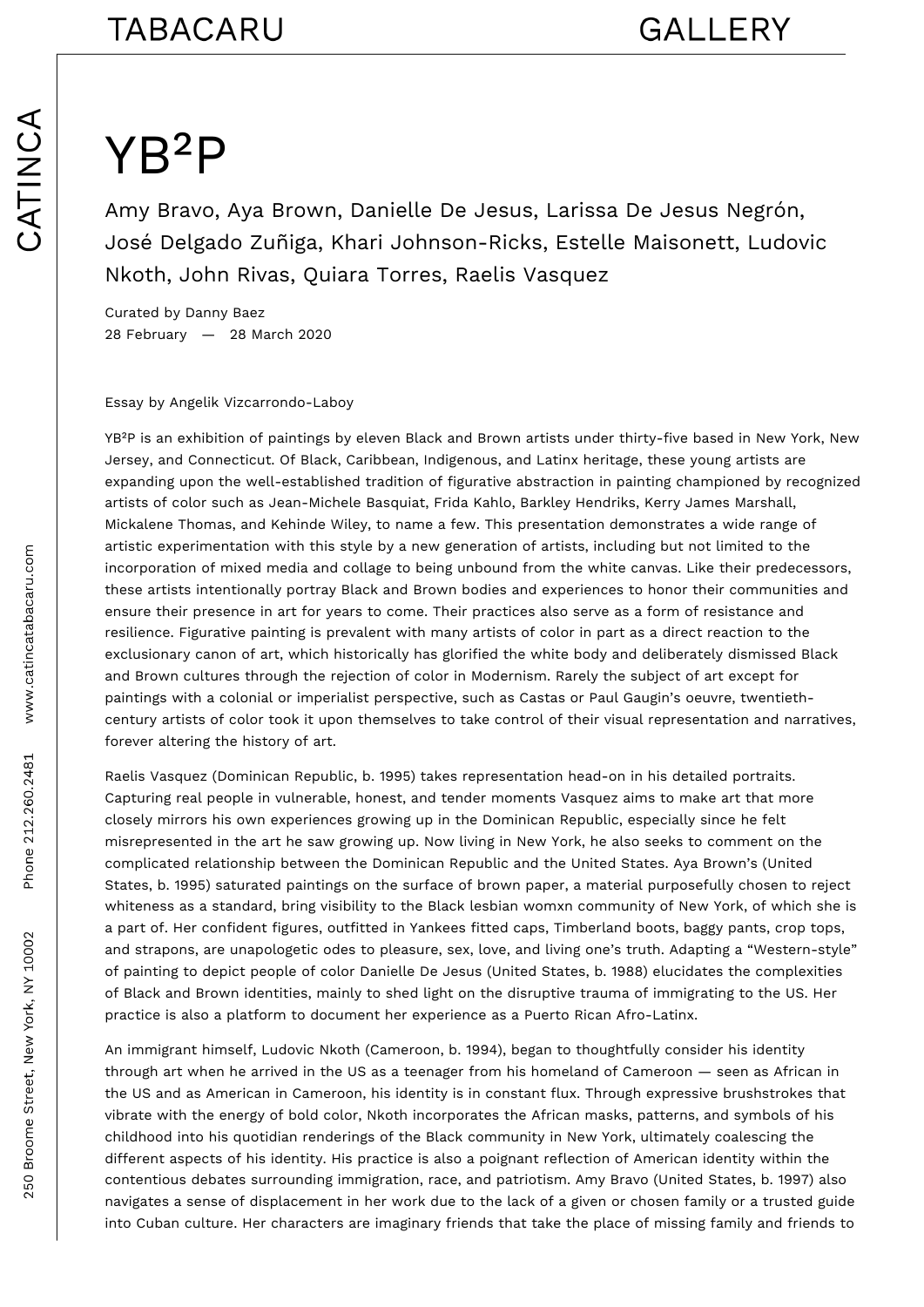## YB²P

Amy Bravo, Aya Brown, Danielle De Jesus, Larissa De Jesus Negrón, José Delgado Zuñiga, Khari Johnson-Ricks, Estelle Maisonett, Ludovic Nkoth, John Rivas, Quiara Torres, Raelis Vasquez

Curated by Danny Baez 28 February — 28 March 2020

Essay by Angelik Vizcarrondo-Laboy

YB²P is an exhibition of paintings by eleven Black and Brown artists under thirty-five based in New York, New Jersey, and Connecticut. Of Black, Caribbean, Indigenous, and Latinx heritage, these young artists are expanding upon the well-established tradition of figurative abstraction in painting championed by recognized artists of color such as Jean-Michele Basquiat, Frida Kahlo, Barkley Hendriks, Kerry James Marshall, Mickalene Thomas, and Kehinde Wiley, to name a few. This presentation demonstrates a wide range of artistic experimentation with this style by a new generation of artists, including but not limited to the incorporation of mixed media and collage to being unbound from the white canvas. Like their predecessors, these artists intentionally portray Black and Brown bodies and experiences to honor their communities and ensure their presence in art for years to come. Their practices also serve as a form of resistance and resilience. Figurative painting is prevalent with many artists of color in part as a direct reaction to the exclusionary canon of art, which historically has glorified the white body and deliberately dismissed Black and Brown cultures through the rejection of color in Modernism. Rarely the subject of art except for paintings with a colonial or imperialist perspective, such as Castas or Paul Gaugin's oeuvre, twentiethcentury artists of color took it upon themselves to take control of their visual representation and narratives, forever altering the history of art.

Raelis Vasquez (Dominican Republic, b. 1995) takes representation head-on in his detailed portraits. Capturing real people in vulnerable, honest, and tender moments Vasquez aims to make art that more closely mirrors his own experiences growing up in the Dominican Republic, especially since he felt misrepresented in the art he saw growing up. Now living in New York, he also seeks to comment on the complicated relationship between the Dominican Republic and the United States. Aya Brown's (United States, b. 1995) saturated paintings on the surface of brown paper, a material purposefully chosen to reject whiteness as a standard, bring visibility to the Black lesbian womxn community of New York, of which she is a part of. Her confident figures, outfitted in Yankees fitted caps, Timberland boots, baggy pants, crop tops, and strapons, are unapologetic odes to pleasure, sex, love, and living one's truth. Adapting a "Western-style" of painting to depict people of color Danielle De Jesus (United States, b. 1988) elucidates the complexities of Black and Brown identities, mainly to shed light on the disruptive trauma of immigrating to the US. Her practice is also a platform to document her experience as a Puerto Rican Afro-Latinx.

An immigrant himself, Ludovic Nkoth (Cameroon, b. 1994), began to thoughtfully consider his identity through art when he arrived in the US as a teenager from his homeland of Cameroon — seen as African in the US and as American in Cameroon, his identity is in constant flux. Through expressive brushstrokes that vibrate with the energy of bold color, Nkoth incorporates the African masks, patterns, and symbols of his childhood into his quotidian renderings of the Black community in New York, ultimately coalescing the different aspects of his identity. His practice is also a poignant reflection of American identity within the contentious debates surrounding immigration, race, and patriotism. Amy Bravo (United States, b. 1997) also navigates a sense of displacement in her work due to the lack of a given or chosen family or a trusted guide into Cuban culture. Her characters are imaginary friends that take the place of missing family and friends to